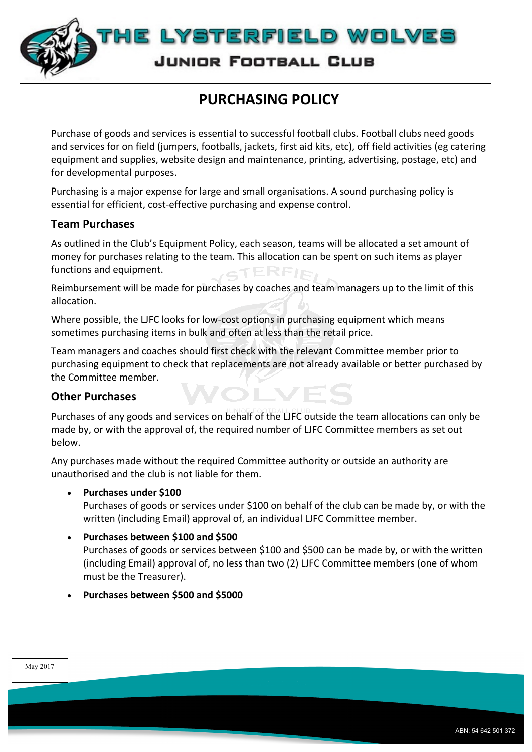

# **PURCHASING POLICY**

Purchase of goods and services is essential to successful football clubs. Football clubs need goods and services for on field (jumpers, footballs, jackets, first aid kits, etc), off field activities (eg catering equipment and supplies, website design and maintenance, printing, advertising, postage, etc) and for developmental purposes.

Purchasing is a major expense for large and small organisations. A sound purchasing policy is essential for efficient, cost-effective purchasing and expense control.

## **Team Purchases**

As outlined in the Club's Equipment Policy, each season, teams will be allocated a set amount of money for purchases relating to the team. This allocation can be spent on such items as player functions and equipment.  $CTERF$ IR

Reimbursement will be made for purchases by coaches and team managers up to the limit of this allocation. 

Where possible, the LJFC looks for low-cost options in purchasing equipment which means sometimes purchasing items in bulk and often at less than the retail price.

Team managers and coaches should first check with the relevant Committee member prior to purchasing equipment to check that replacements are not already available or better purchased by the Committee member.

 $\blacksquare$ 

### **Other Purchases**

Purchases of any goods and services on behalf of the LJFC outside the team allocations can only be made by, or with the approval of, the required number of LJFC Committee members as set out below. 

Any purchases made without the required Committee authority or outside an authority are unauthorised and the club is not liable for them.

### Purchases under \$100

Purchases of goods or services under \$100 on behalf of the club can be made by, or with the written (including Email) approval of, an individual LJFC Committee member.

### • **Purchases between \$100 and \$500**

Purchases of goods or services between \$100 and \$500 can be made by, or with the written (including Email) approval of, no less than two (2) LJFC Committee members (one of whom must be the Treasurer).

### • **Purchases between \$500 and \$5000**